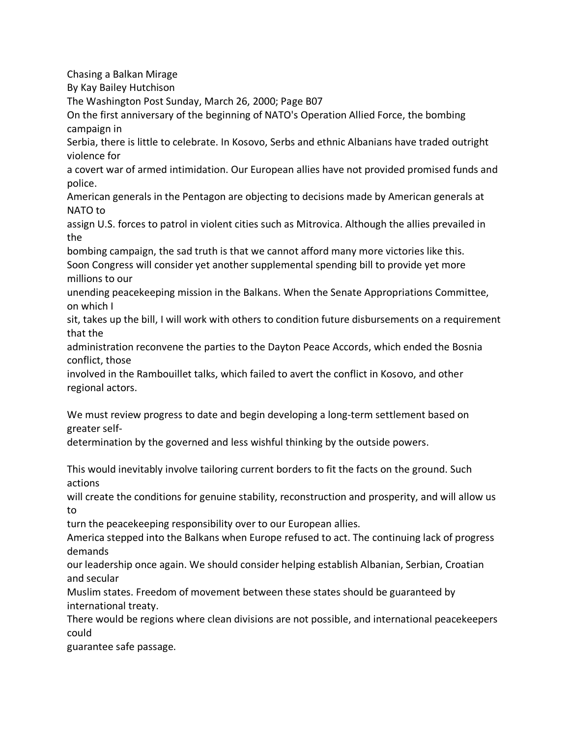Chasing a Balkan Mirage By Kay Bailey Hutchison The Washington Post Sunday, March 26, 2000; Page B07 On the first anniversary of the beginning of NATO's Operation Allied Force, the bombing campaign in Serbia, there is little to celebrate. In Kosovo, Serbs and ethnic Albanians have traded outright violence for a covert war of armed intimidation. Our European allies have not provided promised funds and police. American generals in the Pentagon are objecting to decisions made by American generals at NATO to assign U.S. forces to patrol in violent cities such as Mitrovica. Although the allies prevailed in the bombing campaign, the sad truth is that we cannot afford many more victories like this. Soon Congress will consider yet another supplemental spending bill to provide yet more millions to our unending peacekeeping mission in the Balkans. When the Senate Appropriations Committee, on which I sit, takes up the bill, I will work with others to condition future disbursements on a requirement that the administration reconvene the parties to the Dayton Peace Accords, which ended the Bosnia conflict, those involved in the Rambouillet talks, which failed to avert the conflict in Kosovo, and other regional actors. We must review progress to date and begin developing a long-term settlement based on greater selfdetermination by the governed and less wishful thinking by the outside powers. This would inevitably involve tailoring current borders to fit the facts on the ground. Such actions will create the conditions for genuine stability, reconstruction and prosperity, and will allow us to turn the peacekeeping responsibility over to our European allies. America stepped into the Balkans when Europe refused to act. The continuing lack of progress demands our leadership once again. We should consider helping establish Albanian, Serbian, Croatian and secular Muslim states. Freedom of movement between these states should be guaranteed by international treaty. There would be regions where clean divisions are not possible, and international peacekeepers could

guarantee safe passage.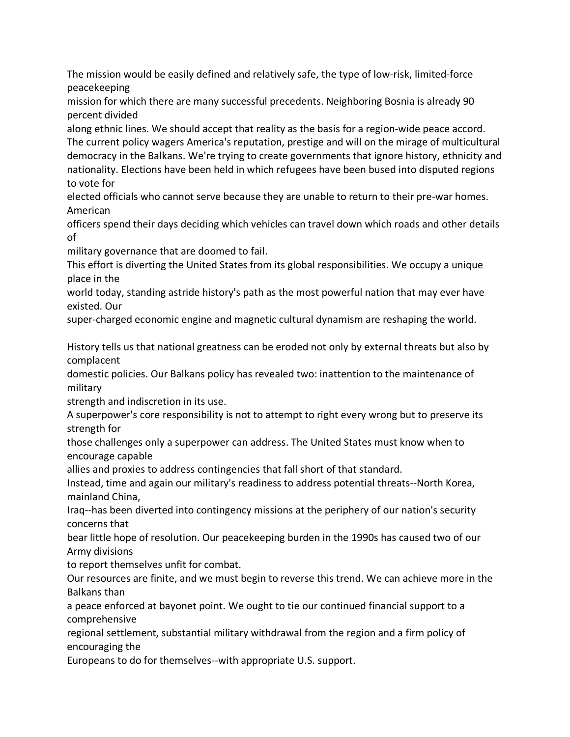The mission would be easily defined and relatively safe, the type of low-risk, limited-force peacekeeping

mission for which there are many successful precedents. Neighboring Bosnia is already 90 percent divided

along ethnic lines. We should accept that reality as the basis for a region-wide peace accord. The current policy wagers America's reputation, prestige and will on the mirage of multicultural democracy in the Balkans. We're trying to create governments that ignore history, ethnicity and nationality. Elections have been held in which refugees have been bused into disputed regions to vote for

elected officials who cannot serve because they are unable to return to their pre-war homes. American

officers spend their days deciding which vehicles can travel down which roads and other details of

military governance that are doomed to fail.

This effort is diverting the United States from its global responsibilities. We occupy a unique place in the

world today, standing astride history's path as the most powerful nation that may ever have existed. Our

super-charged economic engine and magnetic cultural dynamism are reshaping the world.

History tells us that national greatness can be eroded not only by external threats but also by complacent

domestic policies. Our Balkans policy has revealed two: inattention to the maintenance of military

strength and indiscretion in its use.

A superpower's core responsibility is not to attempt to right every wrong but to preserve its strength for

those challenges only a superpower can address. The United States must know when to encourage capable

allies and proxies to address contingencies that fall short of that standard.

Instead, time and again our military's readiness to address potential threats--North Korea, mainland China,

Iraq--has been diverted into contingency missions at the periphery of our nation's security concerns that

bear little hope of resolution. Our peacekeeping burden in the 1990s has caused two of our Army divisions

to report themselves unfit for combat.

Our resources are finite, and we must begin to reverse this trend. We can achieve more in the Balkans than

a peace enforced at bayonet point. We ought to tie our continued financial support to a comprehensive

regional settlement, substantial military withdrawal from the region and a firm policy of encouraging the

Europeans to do for themselves--with appropriate U.S. support.